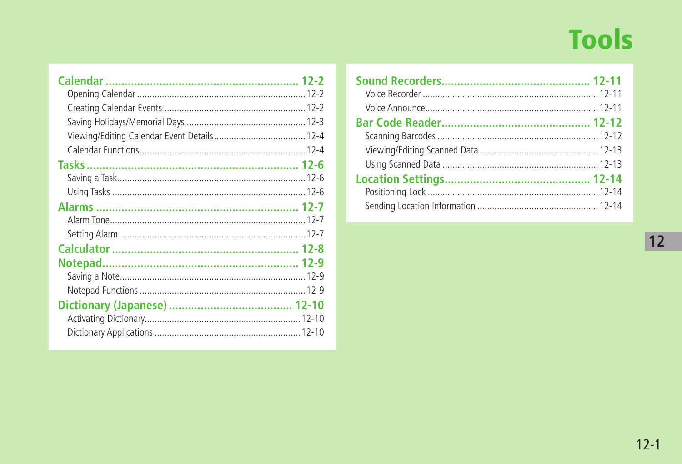# **Tools**

 $\boxed{12}$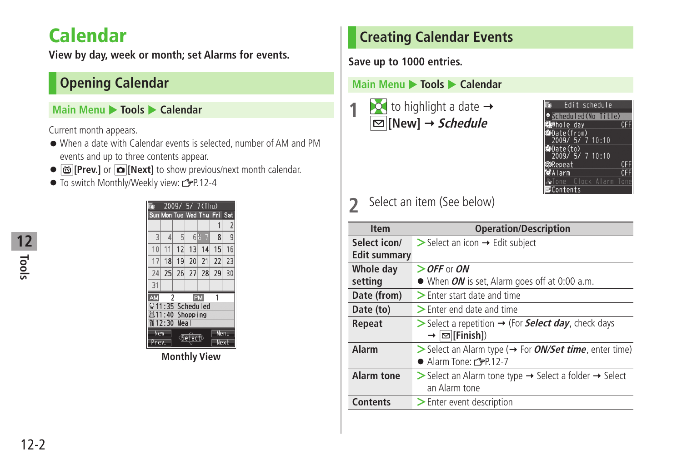# <span id="page-1-0"></span>**Calendar**

**View by day, week or month; set Alarms for events.**

### **Opening Calendar**

#### **Main Menu** X **Tools** X **Calendar**

Current month appears.

- When a date with Calendar events is selected, number of AM and PM events and up to three contents appear.
- **[Prev.]** or **[Next]** to show previous/next month calendar.
- To switch Monthly/Weekly view: C=P.12-4

|            |                 |    |                 | 2009/ 5/ 7(Thu)             |    |                |
|------------|-----------------|----|-----------------|-----------------------------|----|----------------|
|            |                 |    |                 | Sun Mon Tue Wed Thu Fri Sat |    |                |
|            |                 |    |                 |                             | 1  | $\overline{2}$ |
| 3          | $\overline{A}$  | 5  | 6 <sup>1</sup>  | 7                           | 8  | 9              |
| 10         | 11              | 12 | 13              | 14                          | 15 | 16             |
| 17         | 18              | 19 | 20 <sup>1</sup> | 21                          | 22 | 23             |
| 24         | 25              | 26 |                 | 27 28                       | 29 | 30             |
| 31         |                 |    |                 |                             |    |                |
| AM         | $\overline{2}$  |    |                 | PM                          | 1  |                |
|            |                 |    |                 | 911:35 Scheduled            |    |                |
|            | 器11:40 Shopping |    |                 |                             |    |                |
|            | ฟี12:30 Meal    |    |                 |                             |    |                |
| <b>New</b> |                 |    |                 |                             |    | Menu           |
| Prev.      |                 |    |                 |                             |    | Next           |

**Monthly View**

### **Creating Calendar Events**

**Save up to 1000 entries.**

#### **Main Menu ▶ Tools ▶ Calendar**





### **2** Select an item (See below)

| <b>Item</b>       | <b>Operation/Description</b>                                                                                                            |
|-------------------|-----------------------------------------------------------------------------------------------------------------------------------------|
| Select icon/      | $\triangleright$ Select an icon $\rightarrow$ Edit subject                                                                              |
| Edit summary      |                                                                                                                                         |
| Whole day         | $\ge$ OFF or ON                                                                                                                         |
| setting           | $\bullet$ When <i>ON</i> is set, Alarm goes off at 0:00 a.m.                                                                            |
| Date (from)       | $\geq$ Enter start date and time                                                                                                        |
| Date (to)         | $\geq$ Enter end date and time                                                                                                          |
| Repeat            | $\triangleright$ Select a repetition $\rightarrow$ (For <b>Select day</b> , check days<br>$\rightarrow  \infty $ [Finish])              |
| Alarm             | $\triangleright$ Select an Alarm type ( $\rightarrow$ For <i>ON/Set time</i> , enter time)<br>$\bullet$ Alarm Tone: $\mathbb{Z}$ P.12-7 |
| <b>Alarm tone</b> | > Select an Alarm tone type → Select a folder → Select<br>an Alarm tone                                                                 |
| <b>Contents</b>   | $\geq$ Enter event description                                                                                                          |

**Tools 12**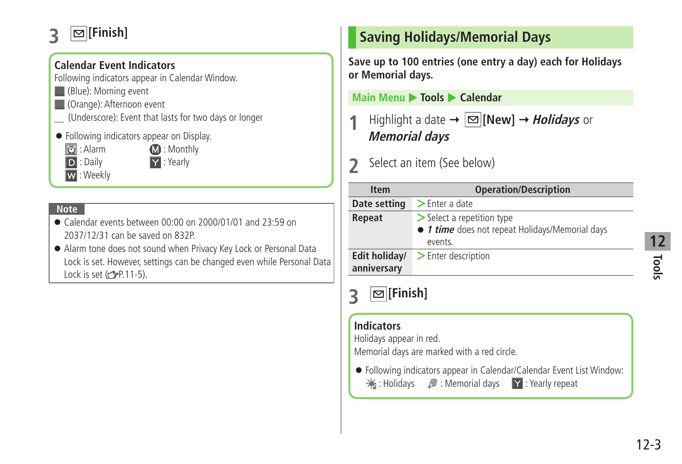### <span id="page-2-0"></span>**3 [Finish]**

### **Calendar Event Indicators**

Following indicators appear in Calendar Window.

- (Blue): Morning event
- **(Orange): Afternoon event**
- \_ (Underscore): Event that lasts for two days or longer
- Following indicators appear on Display.
	- **2**: Alarm **12:** Monthly

D : Daily **Y** : Yearly

W : Weekly

#### **Note**

- Calendar events between 00:00 on 2000/01/01 and 23:59 on 2037/12/31 can be saved on 832P.
- Alarm tone does not sound when Privacy Key Lock or Personal Data Lock is set. However, settings can be changed even while Personal Data Lock is set  $(\sqrt{27}P.11-5)$ .

### **Saving Holidays/Memorial Days**

**Save up to 100 entries (one entry a day) each for Holidays or Memorial days.**

**Main Menu** X **Tools** X **Calendar**

**Highlight a date**  $\rightarrow \boxed{\infty}$  **[New]**  $\rightarrow$ *Holidays* **or Memorial days**

**2** Select an item (See below)

| <b>Item</b>                  | <b>Operation/Description</b>                                                                            |
|------------------------------|---------------------------------------------------------------------------------------------------------|
| Date setting                 | $\blacktriangleright$ Enter a date                                                                      |
| Repeat                       | $\triangleright$ Select a repetition type<br>• 1 time does not repeat Holidays/Memorial days<br>events. |
| Edit holiday/<br>anniversary | $\blacktriangleright$ Enter description                                                                 |

**Indicators**

Holidays appear in red.

Memorial days are marked with a red circle.

● Following indicators appear in Calendar/Calendar Event List Window: : Holidays  $\mathcal{B}$ : Memorial days Y: Yearly repeat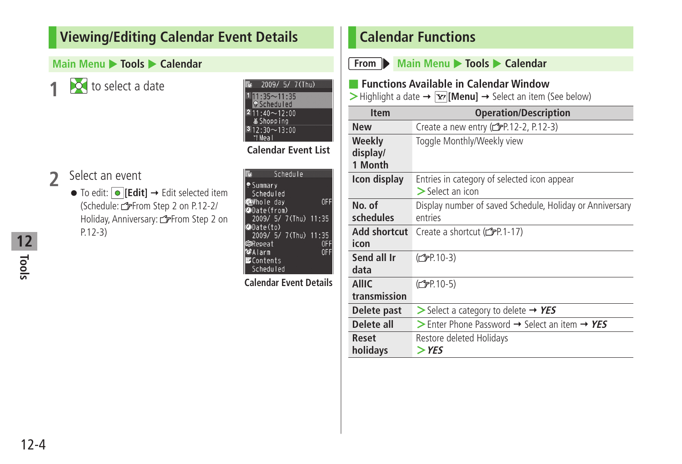### <span id="page-3-0"></span>**Viewing/Editing Calendar Event Details**

#### **Main Menu**  $\triangleright$  **Tools**  $\triangleright$  **Calendar**

**1** to select a date

- **2** Select an event ● To edit: **O** [Edit] → Edit selected item
	- (Schedule: From Step 2 on P.12-2/ Holiday, Anniversary: From Step 2 on P.12-3)

| <b>JIIUWWIII</b><br>$312:30 \sim 13:00$<br>*I Meal |    |
|----------------------------------------------------|----|
| <b>Calendar Event List</b>                         |    |
| Schedule                                           |    |
|                                                    |    |
| ⊕Summary                                           |    |
| Scheduled                                          |    |
| <b>Ch</b> Whole day                                |    |
|                                                    |    |
| ODate(from)                                        |    |
| 2009/ 5/ 7(Thu) 11:35                              |    |
| ODate(to)                                          |    |
| 2009/ 5/ 7(Thu) 11:35                              |    |
| ®Repeat                                            | 0F |
| Malarm                                             |    |
| $\blacksquare$ Contents                            |    |
|                                                    |    |
| Scheduled                                          |    |

2009/ 5/ 7(Thu)  $1:35 \sim 11:35$ **Scheduled**  $2\overline{11:40\sim}12:00$ 

**Calendar Event Details**

### **Calendar Functions**



- **From Main Menu X** Tools **X** Calendar
- **Functions Available in Calendar Window**

 $\triangleright$  Highlight a date  $\rightarrow \triangleright$  **[Menu]**  $\rightarrow$  Select an item (See below)

| <b>Item</b>                   | <b>Operation/Description</b>                                         |
|-------------------------------|----------------------------------------------------------------------|
| <b>New</b>                    | Create a new entry $(\mathcal{F}P.12-2, P.12-3)$                     |
| Weekly<br>display/<br>1 Month | Toggle Monthly/Weekly view                                           |
| Icon display                  | Entries in category of selected icon appear<br>$\geq$ Select an icon |
| No. of<br>schedules           | Display number of saved Schedule, Holiday or Anniversary<br>entries  |
| Add shortcut<br>icon          | Create a shortcut (CP.1-17)                                          |
| Send all Ir<br>data           | (仁子P.10-3)                                                           |
| AllIC<br>transmission         | (C <sub>J</sub> P.10-5)                                              |
| Delete past                   | $>$ Select a category to delete $\rightarrow$ YES                    |
| Delete all                    | Senter Phone Password $\rightarrow$ Select an item $\rightarrow$ YES |
| Reset                         | Restore deleted Holidays                                             |
| holidays                      | $>$ YES                                                              |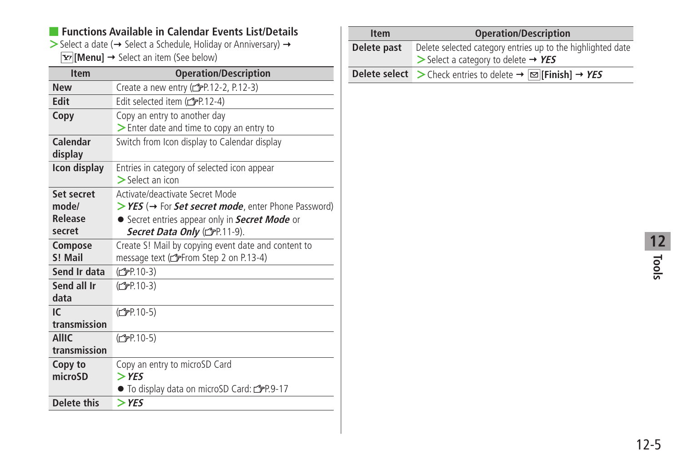#### ■ **Functions Available in Calendar Events List/Details**

 $>$  Select a date ( $\rightarrow$  Select a Schedule, Holiday or Anniversary)  $\rightarrow$ **[Menu]** → Select an item (See below)

| <b>Item</b>        | <b>Operation/Description</b>                        |
|--------------------|-----------------------------------------------------|
| <b>New</b>         | Create a new entry (real 2-2, P.12-3)               |
| <b>Edit</b>        | Edit selected item (fr)-12-4)                       |
| Copy               | Copy an entry to another day                        |
|                    | > Enter date and time to copy an entry to           |
| Calendar           | Switch from Icon display to Calendar display        |
| display            |                                                     |
| Icon display       | Entries in category of selected icon appear         |
|                    | $\triangleright$ Select an icon                     |
| Set secret         | Activate/deactivate Secret Mode                     |
| mode/              | >YES (→ For Set secret mode, enter Phone Password)  |
| Release            | • Secret entries appear only in Secret Mode or      |
| secret             | Secret Data Only (CFP.11-9).                        |
| Compose            | Create S! Mail by copying event date and content to |
| S! Mail            | message text (reffrom Step 2 on P.13-4)             |
| Send Ir data       | (C <sub>FP</sub> .10-3)                             |
| Send all Ir        | (C <sub>FP</sub> .10-3)                             |
| data               |                                                     |
| IC                 | (C <sub>FP</sub> 10-5)                              |
| transmission       |                                                     |
| <b>AllIC</b>       | (C <sub>FP</sub> 10-5)                              |
| transmission       |                                                     |
| Copy to            | Copy an entry to microSD Card                       |
| microSD            | $>$ YES                                             |
|                    | • To display data on microSD Card: repr.9-17        |
| <b>Delete this</b> | $>$ YES                                             |

| <b>Item</b> | <b>Operation/Description</b>                                                                                                  |
|-------------|-------------------------------------------------------------------------------------------------------------------------------|
| Delete past | Delete selected category entries up to the highlighted date<br>$\triangleright$ Select a category to delete $\rightarrow$ YES |
|             | <b>Delete select</b> $\geq$ Check entries to delete $\rightarrow \infty$ [Finish] $\rightarrow$ YES                           |

ł J.

**Tools 12**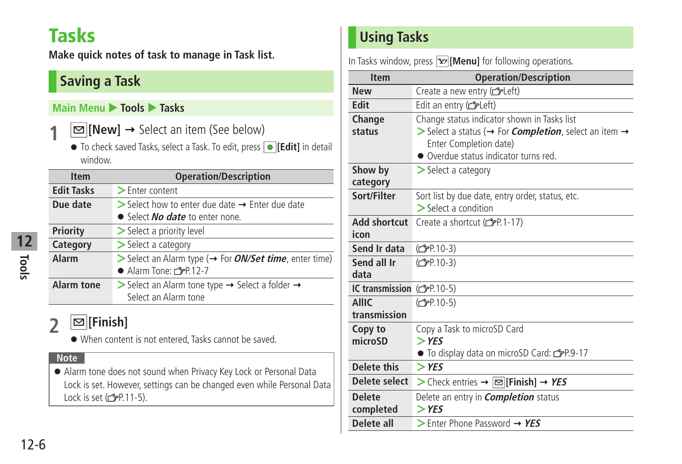# <span id="page-5-0"></span>**Tasks**

**Make quick notes of task to manage in Task list.**

### **Saving a Task**

#### **Main Menu** X **Tools** X **Tasks**

- **1 [New]**  Select an item (See below)
	- To check saved Tasks, select a Task. To edit, press  **[Edit]** in detail window.

| <b>Item</b>       | <b>Operation/Description</b>                                                                                         |
|-------------------|----------------------------------------------------------------------------------------------------------------------|
| <b>Edit Tasks</b> | $\blacktriangleright$ Enter content                                                                                  |
| Due date          | $\triangleright$ Select how to enter due date $\rightarrow$ Enter due date<br>• Select <i>No date</i> to enter none. |
| Priority          | > Select a priority level                                                                                            |
| Category          | $\geq$ Select a category                                                                                             |
| Alarm             | > Select an Alarm type (→ For ON/Set time, enter time)<br>● Alarm Tone: £P.12-7                                      |
| <b>Alarm tone</b> | Select an Alarm tone type $\rightarrow$ Select a folder $\rightarrow$<br>Select an Alarm tone                        |

### **2 [Finish]**

● When content is not entered, Tasks cannot be saved.

#### **Note**

● Alarm tone does not sound when Privacy Key Lock or Personal Data Lock is set. However, settings can be changed even while Personal Data Lock is set  $(2P.11-5)$ .

### **Using Tasks**

In Tasks window, press **[xa]** [Menu] for following operations.

| <b>Item</b>                  | <b>Operation/Description</b>                                                                                                                                                                               |
|------------------------------|------------------------------------------------------------------------------------------------------------------------------------------------------------------------------------------------------------|
| <b>New</b>                   | Create a new entry (cappleft)                                                                                                                                                                              |
| <b>Edit</b>                  | Edit an entry (releft)                                                                                                                                                                                     |
| Change<br>status             | Change status indicator shown in Tasks list<br>$>$ Select a status ( $\rightarrow$ For <i>Completion</i> , select an item $\rightarrow$<br>Enter Completion date)<br>• Overdue status indicator turns red. |
| Show by<br>category          | $\geq$ Select a category                                                                                                                                                                                   |
| Sort/Filter                  | Sort list by due date, entry order, status, etc.<br>$\geq$ Select a condition                                                                                                                              |
| Add shortcut<br>icon         | Create a shortcut $(\mathcal{F}P.1-17)$                                                                                                                                                                    |
| Send Ir data                 | (C <sub>FP.10-3</sub> )                                                                                                                                                                                    |
| Send all Ir<br>data          | (C <sub>FP</sub> P.10-3)                                                                                                                                                                                   |
| IC transmission (f) P.10-5)  |                                                                                                                                                                                                            |
| <b>AllIC</b><br>transmission | (C <sub>FP.10-5</sub> )                                                                                                                                                                                    |
| Copy to<br>microSD           | Copy a Task to microSD Card<br>$>$ YES<br>$\bullet$ To display data on microSD Card: $\mathcal{F}P.9-17$                                                                                                   |
| <b>Delete this</b>           | $>$ YES                                                                                                                                                                                                    |
| Delete select                | > Check entries → $\infty$ [Finish] → YES                                                                                                                                                                  |
| <b>Delete</b><br>completed   | Delete an entry in <i>Completion</i> status<br>$>$ YES                                                                                                                                                     |
| Delete all                   | $>$ Enter Phone Password $\rightarrow$ YES                                                                                                                                                                 |

**Tools 12**

### 12-6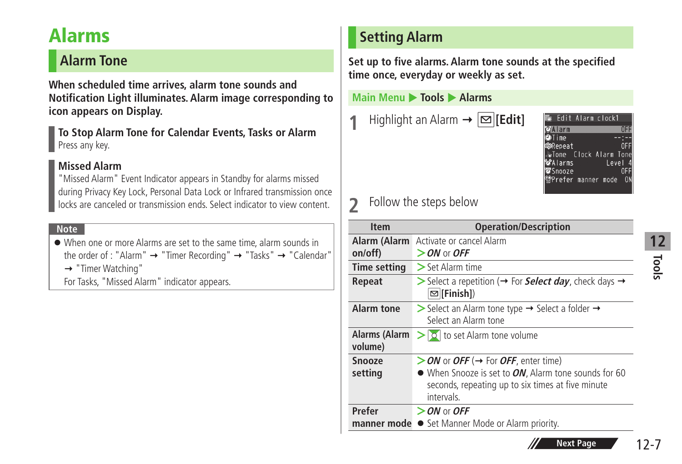# <span id="page-6-0"></span>**Alarms**

### **Alarm Tone**

**When scheduled time arrives, alarm tone sounds and Notification Light illuminates. Alarm image corresponding to icon appears on Display.**

**To Stop Alarm Tone for Calendar Events, Tasks or Alarm** Press any key.

#### **Missed Alarm**

"Missed Alarm" Event Indicator appears in Standby for alarms missed during Privacy Key Lock, Personal Data Lock or Infrared transmission once locks are canceled or transmission ends. Select indicator to view content.

#### **Note**

- When one or more Alarms are set to the same time, alarm sounds in the order of : "Alarm"  $\rightarrow$  "Timer Recording"  $\rightarrow$  "Tasks"  $\rightarrow$  "Calendar"
	- → "Timer Watching"
	- For Tasks, "Missed Alarm" indicator appears.

### **Setting Alarm**

**Set up to five alarms. Alarm tone sounds at the specified time once, everyday or weekly as set.**

#### **Main Menu ▶ Tools ▶ Alarms**

**Highlight an Alarm**  $\rightarrow \boxed{\infty}$  **[Edit]** 



### **2** Follow the steps below

| <b>Item</b>              | <b>Operation/Description</b>                                                                                                                                   |
|--------------------------|----------------------------------------------------------------------------------------------------------------------------------------------------------------|
| on/off)                  | Alarm (Alarm Activate or cancel Alarm<br>$>$ ON or OFF                                                                                                         |
| <b>Time setting</b>      | $>$ Set Alarm time                                                                                                                                             |
| Repeat                   | Select a repetition ( $\rightarrow$ For <b>Select day</b> , check days $\rightarrow$<br>$\boxed{\infty}$ [Finish])                                             |
| Alarm tone               | Select an Alarm tone type $\rightarrow$ Select a folder $\rightarrow$<br>Select an Alarm tone                                                                  |
| Alarms (Alarm<br>volume) | $>$ $\vert \circ \vert$ to set Alarm tone volume                                                                                                               |
| Snooze<br>setting        | > ON or OFF (→ For OFF, enter time)<br>• When Snooze is set to ON, Alarm tone sounds for 60<br>seconds, repeating up to six times at five minute<br>intervals. |
| Prefer                   | $>$ ON or OFF<br><b>manner mode •</b> Set Manner Mode or Alarm priority.                                                                                       |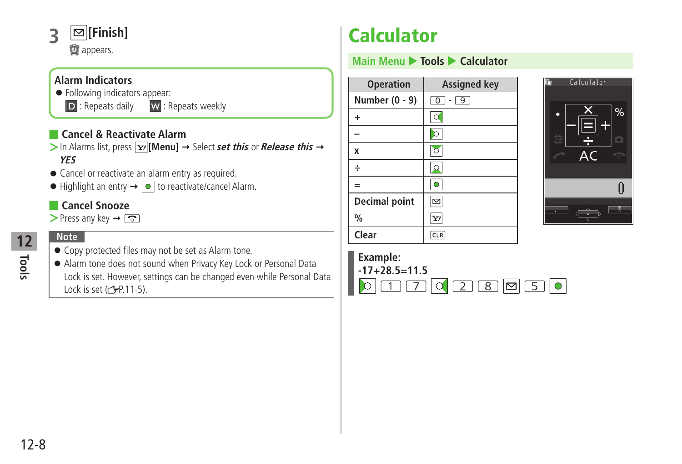<span id="page-7-0"></span>

#### **Alarm Indicators**

- Following indicators appear:
	-
	- D : Repeats daily W : Repeats weekly

#### ■ **Cancel & Reactivate Alarm**

- $>$  In Alarms list, press  $\overline{\mathbf{x}}$  [Menu]  $\rightarrow$  Select **set this** or **Release this**  $\rightarrow$ **YES**
- Cancel or reactivate an alarm entry as required.
- $\bullet$  Highlight an entry  $\rightarrow \circledcirc$  to reactivate/cancel Alarm.

#### ■ **Cancel Snooze**

 $\triangleright$  Press any key  $\rightarrow \boxed{\odot}$ 

#### **Note**

- Copy protected files may not be set as Alarm tone.
- Alarm tone does not sound when Privacy Key Lock or Personal Data Lock is set. However, settings can be changed even while Personal Data Lock is set  $(\mathcal{F}P.11-5)$ .

# **Calculator**

#### **Main Menu ▶ Tools ▶ Calculator**

| <b>Operation</b>     | <b>Assigned key</b>       |
|----------------------|---------------------------|
| Number (0 - 9)       | $\boxed{0}$ - $\boxed{9}$ |
| $\ddot{}$            | $\alpha$                  |
|                      | $\circ$                   |
| X                    | $\circ$                   |
| ÷                    | $\Omega$                  |
| $=$                  | $\circ$                   |
| <b>Decimal point</b> | $\boxtimes$               |
| $\frac{0}{0}$        | $\mathbf{Y}$              |
| Clear                | CLR                       |



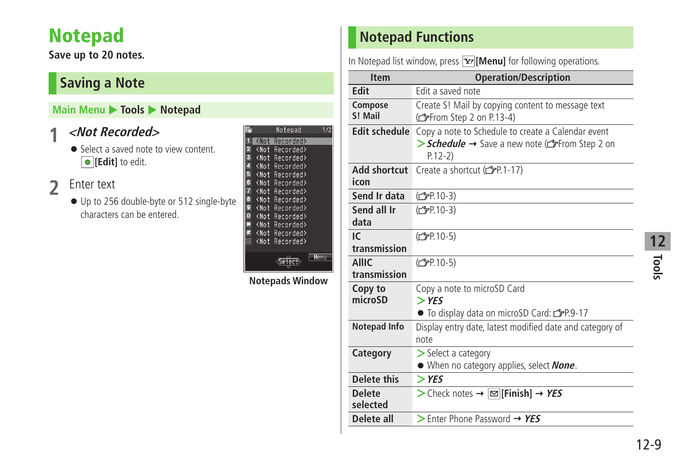# <span id="page-8-0"></span>**Notepad**

**Save up to 20 notes.**

### **Saving a Note**

#### **Main Menu > Tools > Notepad**

### **1 <Not Recorded>**

● Select a saved note to view content.  $\boxed{\bullet}$  [**Edit**] to edit.

### **2** Enter text

● Up to 256 double-byte or 512 single-byte characters can be entered.

|                         |                                                   | Notepad                 | í   |
|-------------------------|---------------------------------------------------|-------------------------|-----|
| ī                       |                                                   | <not recorded=""></not> |     |
| $\frac{2}{3}$           |                                                   | <not recorded=""></not> |     |
|                         |                                                   | <not recorded=""></not> |     |
| 4                       | <not< th=""><th>Recorded&gt;</th><th></th></not<> | Recorded>               |     |
| 5                       |                                                   | <not recorded=""></not> |     |
| 6                       |                                                   | <not recorded=""></not> |     |
| 7                       |                                                   | <not recorded=""></not> |     |
| 8                       |                                                   | <not recorded=""></not> |     |
| 9                       | <not< th=""><th>Recorded&gt;</th><th></th></not<> | Recorded>               |     |
| $\overline{\mathbf{0}}$ |                                                   | <not recorded=""></not> |     |
| Ø                       |                                                   | <not recorded=""></not> |     |
| £.                      |                                                   | <not recorded=""></not> |     |
|                         | <not< th=""><th>Recorded&gt;</th><th></th></not<> | Recorded>               |     |
|                         |                                                   |                         |     |
|                         |                                                   |                         | Men |
|                         |                                                   |                         |     |

**Notepads Window**

### **Notepad Functions**

In Notepad list window, press **[Y]** [Menu] for following operations.

| <b>Item</b>                  | <b>Operation/Description</b>                                                                                    |
|------------------------------|-----------------------------------------------------------------------------------------------------------------|
| Edit                         | Edit a saved note                                                                                               |
| Compose<br>S! Mail           | Create S! Mail by copying content to message text<br>(From Step 2 on P.13-4)                                    |
| <b>Edit schedule</b>         | Copy a note to Schedule to create a Calendar event<br>> Schedule → Save a new note (from Step 2 on<br>$P.12-2)$ |
| Add shortcut<br>icon         | Create a shortcut (CP.1-17)                                                                                     |
| Send Ir data                 | (C <sub>FP</sub> P.10-3)                                                                                        |
| Send all Ir<br>data          | (C <sub>FP</sub> P.10-3)                                                                                        |
| IC<br>transmission           | (C <sub>F</sub> P.10-5)                                                                                         |
| <b>AllIC</b><br>transmission | (C <sub>FP</sub> .10-5)                                                                                         |
| Copy to<br>microSD           | Copy a note to microSD Card<br>$>$ YES<br>● To display data on microSD Card: rep.9-17                           |
| <b>Notepad Info</b>          | Display entry date, latest modified date and category of<br>note                                                |
| Category                     | $\geq$ Select a category<br>• When no category applies, select <b>None</b> .                                    |
| Delete this                  | $>$ YES                                                                                                         |
| <b>Delete</b><br>selected    | > Check notes → $\boxed{\infty}$ [Finish] → YES                                                                 |
| Delete all                   | $>$ Enter Phone Password $\rightarrow$ YES                                                                      |

**Tools 12**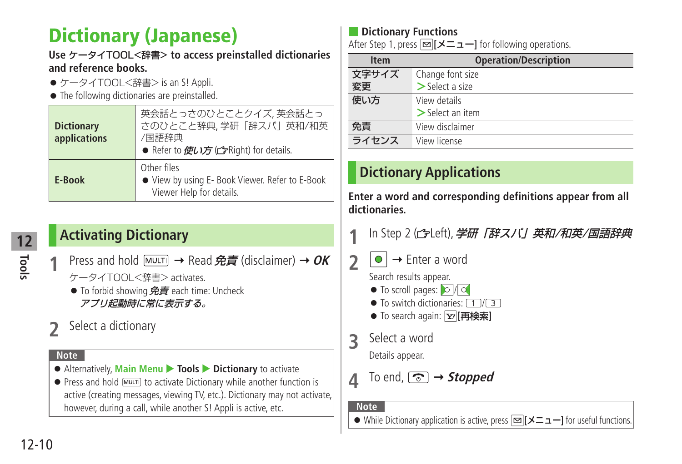# <span id="page-9-0"></span>**Dictionary (Japanese)**

#### **Use** ケータイTOOL<辞書> **to access preinstalled dictionaries and reference books.**

- ●ケータイTOOL<辞書> is an S! Appli.
- The following dictionaries are preinstalled.

| <b>Dictionary</b><br>applications | 英会話とっさのひとことクイズ,英会話とっ<br>さのひとこと辞典,学研「辞スパ」英和/和英<br>/国語辞典<br>● Refer to 使い方 (fright) for details. |
|-----------------------------------|------------------------------------------------------------------------------------------------|
| E-Book                            | Other files<br>• View by using E- Book Viewer. Refer to E-Book<br>Viewer Help for details.     |

### **Activating Dictionary**

- **Press and hold**  $M$ **WUTI** → Read 免責 (disclaimer) → OK ケータイTOOL<辞書> activates.
	- To forbid showing  $\hat{\mathcal{H}}$  and  $\hat{\mathcal{H}}$  each time: Uncheck アプリ起動時に常に表示する。
- **2** Select a dictionary

#### **Note**

- Alternatively, **Main Menu** ▶ **Tools** ▶ Dictionary to activate
- Press and hold  $\overline{MUL}$  to activate Dictionary while another function is active (creating messages, viewing TV, etc.). Dictionary may not activate, however, during a call, while another S! Appli is active, etc.

### **Dictionary Functions**

After Step 1, press **[**メニュー**]** for following operations.

| <b>Item</b> | <b>Operation/Description</b> |
|-------------|------------------------------|
| 文字サイズ       | Change font size             |
| 変更          | $>$ Select a size            |
| 使い方         | View details                 |
|             | $>$ Select an item           |
| 免青          | View disclaimer              |
| ライセンス       | View license                 |

### **Dictionary Applications**

**Enter a word and corresponding definitions appear from all dictionaries.**

- In Step 2 ( fleft), 学研 「辞スパ」英和/和英/国語辞典
- $2 \cdot \cdot \cdot$  Enter a word

Search results appear.

- $\bullet$  To scroll pages:  $\circ$  /  $\circ$
- $\bullet$  To switch dictionaries:  $\boxed{1/3}$
- To search again: **[**<sub> $\overline{Y}$ </sub> [再検索]
- **3** Select a word

Details appear.

 $\Lambda$  To end,  $\boxed{\circlearrowright}$   $\rightarrow$  *Stopped* 

**Note**

● While Dictionary application is active, press **[**メニュー**]** for useful functions.

**Tools**

**12**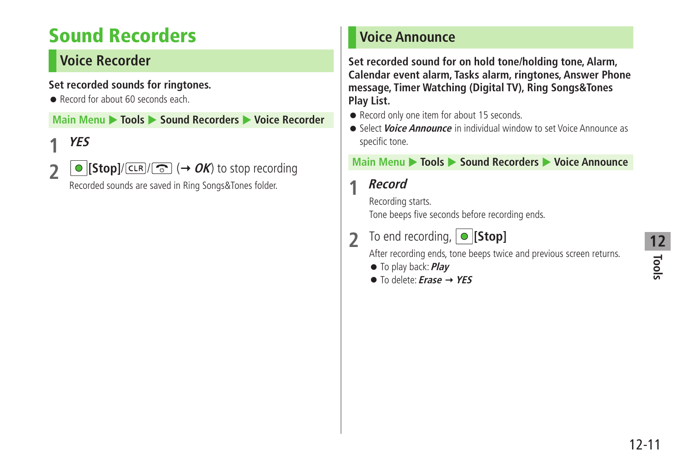# <span id="page-10-0"></span>**Sound Recorders**

### **Voice Recorder**

#### **Set recorded sounds for ringtones.**

● Record for about 60 seconds each.

**Main Menu ▶ Tools ▶ Sound Recorders ▶ Voice Recorder** 

## **1 YES**

**2 [Stop]**/ $\boxed{\infty}$  ( $\rightarrow$  *OK*) to stop recording

Recorded sounds are saved in Ring Songs&Tones folder.

### **Voice Announce**

**Set recorded sound for on hold tone/holding tone, Alarm, Calendar event alarm, Tasks alarm, ringtones, Answer Phone message, Timer Watching (Digital TV), Ring Songs&Tones Play List.**

- Record only one item for about 15 seconds.
- Select **Voice Announce** in individual window to set Voice Announce as specific tone.

#### **Main Menu** X **Tools** X **Sound Recorders** X **Voice Announce**

### **1 Record**

Recording starts. Tone beeps five seconds before recording ends.

### **2** To end recording, **[Stop]**

After recording ends, tone beeps twice and previous screen returns.

- To play back: **Play**
- To delete: **Erase YES**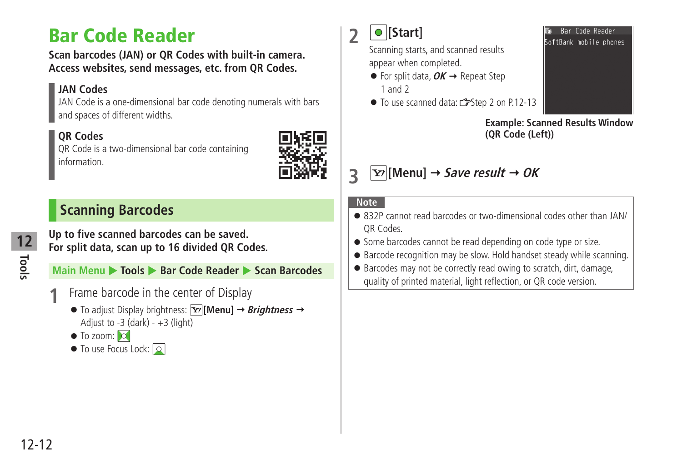# <span id="page-11-0"></span>**Bar Code Reader**

**Scan barcodes (JAN) or QR Codes with built-in camera. Access websites, send messages, etc. from QR Codes.**

#### **JAN Codes**

JAN Code is a one-dimensional bar code denoting numerals with bars and spaces of different widths.

#### **QR Codes**

QR Code is a two-dimensional bar code containing information.



### **Scanning Barcodes**

**Up to five scanned barcodes can be saved. For split data, scan up to 16 divided QR Codes.**

**Main Menu ▶ Tools ▶ Bar Code Reader ▶ Scan Barcodes** 

- **1** Frame barcode in the center of Display
	- $\bullet$  To adjust Display brightness:  $\overline{Y}$ [Menu]  $\rightarrow$  *Brightness*  $\rightarrow$ Adjust to  $-3$  (dark)  $- +3$  (light)
	- $\bullet$  To zoom:  $\circ$
	- To use Focus Lock: Q

**2 [Start]**

Scanning starts, and scanned results appear when completed.

- $\bullet$  For split data,  $OK \rightarrow$  Repeat Step 1 and 2
- To use scanned data: r Step 2 on P.12-13



**Example: Scanned Results Window (QR Code (Left))**



#### **Note**

- 832P cannot read barcodes or two-dimensional codes other than JAN/ QR Codes.
- Some barcodes cannot be read depending on code type or size.
- Barcode recognition may be slow. Hold handset steady while scanning.
- Barcodes may not be correctly read owing to scratch, dirt, damage, quality of printed material, light reflection, or QR code version.

**Tools**

**12**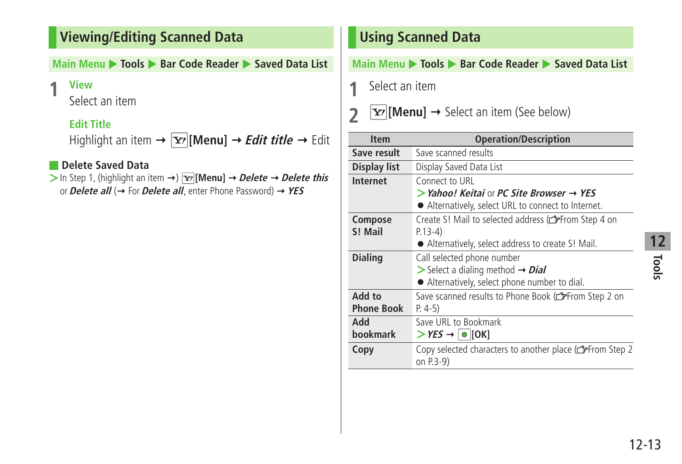### <span id="page-12-0"></span>**Viewing/Editing Scanned Data**

#### **Main Menu ▶ Tools ▶ Bar Code Reader ▶ Saved Data List**

#### **1 View**

Select an item

### **Edit Title**

Highlight an item  $\rightarrow \boxed{\mathbf{x}}$  [Menu]  $\rightarrow$  *Edit title*  $\rightarrow$  Edit

#### ■ **Delete Saved Data**

 $>$  In Step 1, (highlight an item  $\rightarrow$ )  $\overline{Y}$  [Menu]  $\rightarrow$  *Delete*  $\rightarrow$  *Delete this* or **Delete all** (→ For **Delete all**, enter Phone Password) → YES

### **Using Scanned Data**

#### **Main Menu** X **Tools** X **Bar Code Reader** X **Saved Data List**

**1** Select an item

### **2**  $\boxed{\mathbf{x}}$  [Menu]  $\rightarrow$  Select an item (See below)

| <b>Item</b>                 | <b>Operation/Description</b>                                                                                                                      |
|-----------------------------|---------------------------------------------------------------------------------------------------------------------------------------------------|
| Save result                 | Save scanned results                                                                                                                              |
| Display list                | Display Saved Data List                                                                                                                           |
| Internet                    | Connect to URL                                                                                                                                    |
|                             | $>$ Yahoo! Keitai or PC Site Browser $\rightarrow$ YES<br>• Alternatively, select URL to connect to Internet.                                     |
| Compose<br>S! Mail          | Create S! Mail to selected address (SFFrom Step 4 on<br>$P.13-4)$                                                                                 |
|                             | • Alternatively, select address to create S! Mail.                                                                                                |
| <b>Dialing</b>              | Call selected phone number<br>$\triangleright$ Select a dialing method $\rightarrow$ <i>Dial</i><br>• Alternatively, select phone number to dial. |
| Add to<br><b>Phone Book</b> | Save scanned results to Phone Book (from Step 2 on<br>$P. 4-5)$                                                                                   |
| hhA<br><b>hookmark</b>      | Save URL to Bookmark<br>$>$ YES $\rightarrow$ $\mid \bullet \mid$ [OK]                                                                            |
| Copy                        | Copy selected characters to another place (from Step 2<br>on P.3-9)                                                                               |

# **Tools 12**